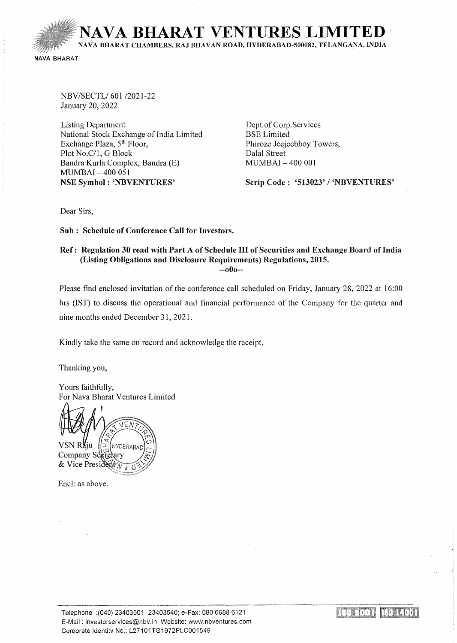**NAVA BHARAT VENTURES LIMITI** NA VA BHARAT CHAMBERS, RAJ BHA VAN ROAD, HYDERABAD-500082, TELANGANA, INDIA

NAVA BHARAT

NBV/SECTL/601 /2021-22 January 20, 2022

Listing Department National Stock Exchange of India Limited Exchange Plaza,  $5<sup>th</sup>$  Floor, Plot No.C/1, G Block Bandra Kurla Complex, Bandra (E) MUMBAI- 400 OSI NSE Symbol: 'NBVENTURES'

Dept. of Corp. Services BSE Limited Phiroze Jeejeebhoy Towers, Dalal Street MUMBAI - 400 001

Scrip Code: '513023' / 'NBVENTURES'

Dear Sirs,

Sub : Schedule of Conference Call for Investors.

#### Ref: Regulation 30 read with Part A of Schedule III of Securities and Exchange Board of India (Listing Obligations and Disclosure Requirements) Regulations, 2015.

--oOo--

Please find enclosed invitation of the conference call scheduled on Friday, January 28, 2022 at 16:00 hrs (IST) to discuss the operational and financial performance of the Company for the quarter and nine months ended December 3 I, 202I ,

Kindly take the same on record and acknowledge the receipt.

Thanking you,

Yours faithfully, For Nava Bharat Ventures Limited

 $F \Lambda$ VSN Raju **HYDERABAI** Company Secretary & Vice President  $\lambda$ 

Encl: as above.